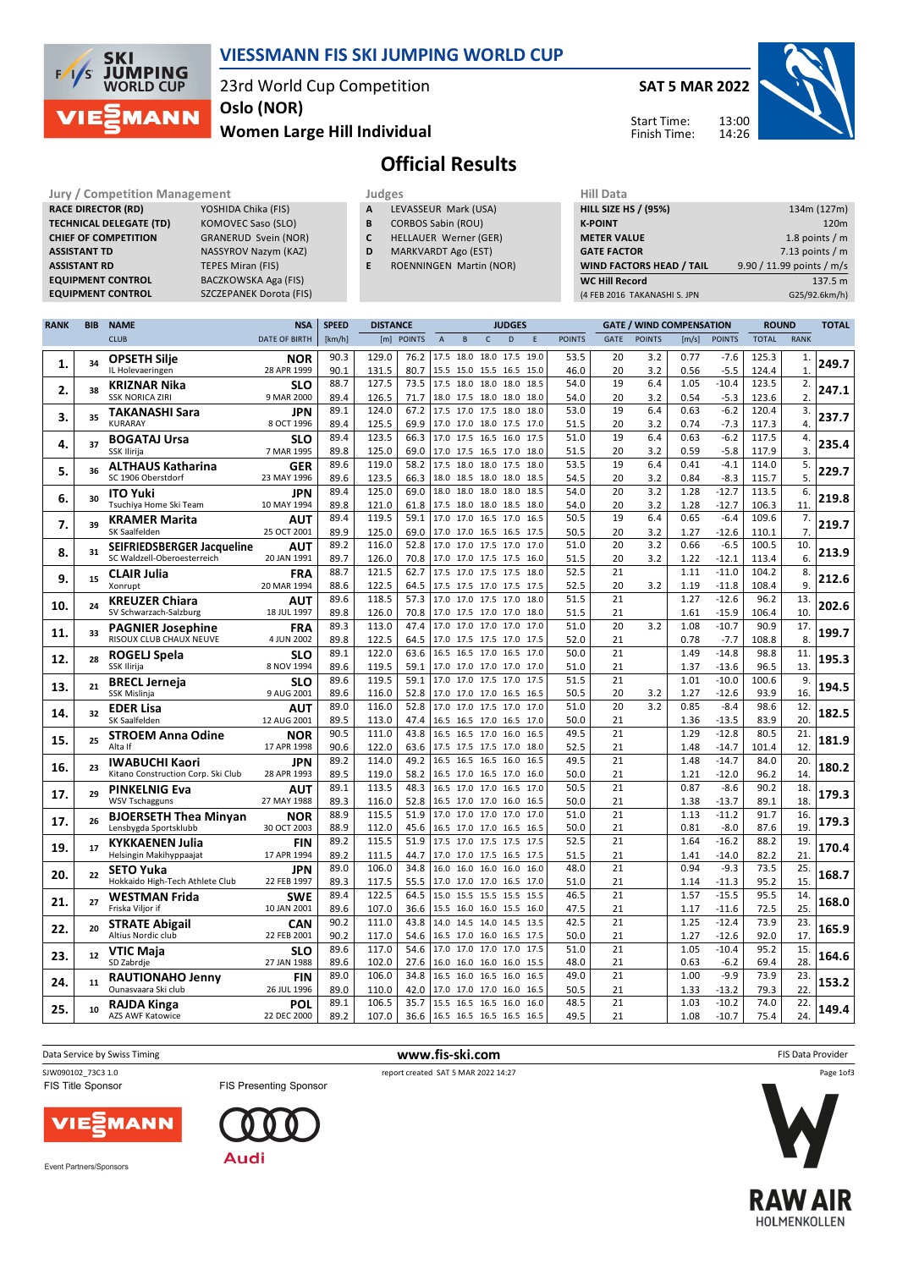

## **VIESSMANN FIS SKI JUMPING WORLD CUP**

23rd World Cup Competition

**Oslo (NOR)**

#### **Women Large Hill Individual**

**SAT 5 MAR 2022**





# **Official Results**

**Jury / Competition Management Judges Judges Hill Data**<br> **RACE DIRECTOR (RD)** YOSHIDA Chika (FIS) **A LEVASSEUR Mark (USA) HILL SIZE H RACE DIRECTOR (RD) TECHNICAL DELEGATE (TD)** KOMOVEC Saso (SLO) **CHIEF OF COMPETITION** GRANERUD Svein (NOR) **ASSISTANT TD** NASSYROV Nazym (KAZ) **ASSISTANT RD** TEPES Miran (FIS)<br>**EQUIPMENT CONTROL** BACZKOWSKA Aga

**EQUIPMENT CONTROL BACZKOWSKA Aga (FIS)**<br>**EQUIPMENT CONTROL** SZCZEPANEK Dorota (FIS **EXPLORED**<br>SZCZEPANEK Dorota (FIS)

|              | <b>Juni 200</b>      |  |
|--------------|----------------------|--|
| $\mathbf{A}$ | LEVASSEUR Mark (USA) |  |

- **B** CORBOS Sabin (ROU)
- **C** HELLAUER Werner (GER)
- **D** MARKVARDT Ago (EST)
- **E** ROENNINGEN Martin (NOR)

| 11111 <i>Data</i>               |                           |
|---------------------------------|---------------------------|
| <b>HILL SIZE HS / (95%)</b>     | 134m (127m)               |
| <b>K-POINT</b>                  | 120 <sub>m</sub>          |
| <b>METER VALUE</b>              | 1.8 points $/m$           |
| <b>GATE FACTOR</b>              | 7.13 points $/m$          |
| <b>WIND FACTORS HEAD / TAIL</b> | 9.90 / 11.99 points / m/s |
| <b>WC Hill Record</b>           | 137.5 m                   |
| (4 FEB 2016 TAKANASHI S. JPN    | G25/92.6km/h)             |
|                                 |                           |

| <b>RANK</b> | <b>BIB</b> | <b>NAME</b>                                 | <b>NSA</b>                | <b>SPEED</b> | <b>DISTANCE</b> |               |                |                                            |              | <b>JUDGES</b> |              |               |                 | <b>GATE / WIND COMPENSATION</b> |              |                    | <b>ROUND</b>   |             | <b>TOTAL</b> |
|-------------|------------|---------------------------------------------|---------------------------|--------------|-----------------|---------------|----------------|--------------------------------------------|--------------|---------------|--------------|---------------|-----------------|---------------------------------|--------------|--------------------|----------------|-------------|--------------|
|             |            | <b>CLUB</b>                                 | <b>DATE OF BIRTH</b>      | [km/h]       | [m]             | <b>POINTS</b> | $\overline{A}$ | B                                          | $\mathsf{C}$ | D             | E            | <b>POINTS</b> | GATE            | <b>POINTS</b>                   | [m/s]        | <b>POINTS</b>      | <b>TOTAL</b>   | <b>RANK</b> |              |
|             |            | <b>OPSETH Silje</b>                         | <b>NOR</b>                | 90.3         | 129.0           | 76.2          | 17.5           | 18.0                                       | 18.0 17.5    |               | 19.0         | 53.5          | 20              | 3.2                             | 0.77         | $-7.6$             | 125.3          | 1.          |              |
| 1.          | 34         | IL Holevaeringen                            | 28 APR 1999               | 90.1         | 131.5           | 80.7          |                | 15.5 15.0 15.5 16.5 15.0                   |              |               |              | 46.0          | 20              | 3.2                             | 0.56         | $-5.5$             | 124.4          | 1.          | 249.7        |
| 2.          | 38         | <b>KRIZNAR Nika</b>                         | <b>SLO</b>                | 88.7         | 127.5           | 73.5          | 17.5           | 18.0 18.0                                  |              | 18.0          | 18.5         | 54.0          | 19              | 6.4                             | 1.05         | $-10.4$            | 123.5          | 2.          | 247.1        |
|             |            | <b>SSK NORICA ZIRI</b>                      | 9 MAR 2000                | 89.4         | 126.5           | 71.7          |                | 18.0 17.5 18.0 18.0                        |              |               | 18.0         | 54.0          | 20              | 3.2                             | 0.54         | $-5.3$             | 123.6          | 2.          |              |
| З.          | 35         | <b>TAKANASHI Sara</b>                       | JPN                       | 89.1         | 124.0           | 67.2          |                | 17.5 17.0 17.5 18.0                        |              |               | 18.0         | 53.0          | 19              | 6.4                             | 0.63         | $-6.2$             | 120.4          | 3.          | 237.7        |
|             |            | KURARAY                                     | 8 OCT 1996                | 89.4         | 125.5           | 69.9          |                | 17.0 17.0 18.0 17.5                        |              |               | 17.0         | 51.5          | 20              | 3.2                             | 0.74         | $-7.3$             | 117.3          | 4.          |              |
| 4.          | 37         | <b>BOGATAJ Ursa</b>                         | <b>SLO</b>                | 89.4         | 123.5           | 66.3          |                | 17.0 17.5 16.5 16.0                        |              |               | 17.5         | 51.0          | 19              | 6.4                             | 0.63         | $-6.2$             | 117.5          | 4.          | 235.4        |
|             |            | SSK Ilirija                                 | 7 MAR 1995                | 89.8         | 125.0           | 69.0          | 17.0           | 17.5 16.5 17.0                             |              |               | 18.0         | 51.5          | 20              | 3.2                             | 0.59         | $-5.8$             | 117.9          | 3.          |              |
| 5.          | 36         | <b>ALTHAUS Katharina</b>                    | GER                       | 89.6         | 119.0           | 58.2          | 17.5           | 18.0                                       | 18.0         | 17.5          | 18.0         | 53.5          | 19              | 6.4                             | 0.41         | $-4.1$             | 114.0          | 5.          | 229.7        |
|             |            | SC 1906 Oberstdorf                          | 23 MAY 1996               | 89.6         | 123.5           | 66.3          |                | 18.0 18.5 18.0 18.0                        |              |               | 18.5         | 54.5          | 20              | 3.2                             | 0.84         | $-8.3$             | 115.7          | 5.          |              |
| 6.          | 30         | <b>ITO Yuki</b>                             | JPN                       | 89.4<br>89.8 | 125.0<br>121.0  | 69.0<br>61.8  |                | 18.0 18.0 18.0<br>17.5 18.0 18.0 18.5      |              | 18.0          | 18.5         | 54.0<br>54.0  | 20<br>20        | 3.2<br>3.2                      | 1.28         | $-12.7$<br>$-12.7$ | 113.5<br>106.3 | 6.<br>11.   | 219.8        |
|             |            | Tsuchiya Home Ski Team                      | 10 MAY 1994               | 89.4         | 119.5           | 59.1          |                | 17.0 17.0 16.5 17.0                        |              |               | 18.0<br>16.5 | 50.5          | 19              | 6.4                             | 1.28<br>0.65 | $-6.4$             | 109.6          | 7.          |              |
| 7.          | 39         | <b>KRAMER Marita</b><br>SK Saalfelden       | AUT<br>25 OCT 2001        | 89.9         | 125.0           | 69.0          |                | 17.0 17.0 16.5 16.5                        |              |               | 17.5         | 50.5          | 20              | 3.2                             | 1.27         | $-12.6$            | 110.1          | 7.          | 219.7        |
|             |            | SEIFRIEDSBERGER Jacqueline                  | <b>AUT</b>                | 89.2         | 116.0           | 52.8          | 17.0           | 17.0 17.5 17.0                             |              |               | 17.0         | 51.0          | 20              | 3.2                             | 0.66         | $-6.5$             | 100.5          | 10.         |              |
| 8.          | 31         | SC Waldzell-Oberoesterreich                 | 20 JAN 1991               | 89.7         | 126.0           | 70.8          |                | 17.0 17.0 17.5 17.5                        |              |               | 16.0         | 51.5          | 20              | 3.2                             | 1.22         | $-12.1$            | 113.4          | 6.          | 213.9        |
|             |            | <b>CLAIR Julia</b>                          | <b>FRA</b>                | 88.7         | 121.5           | 62.7          |                | 17.5 17.0 17.5 17.5                        |              |               | 18.0         | 52.5          | 21              |                                 | 1.11         | $-11.0$            | 104.2          | 8.          |              |
| 9.          | 15         | Xonrupt                                     | 20 MAR 1994               | 88.6         | 122.5           | 64.5          |                | 17.5 17.5 17.0 17.5                        |              |               | 17.5         | 52.5          | 20              | 3.2                             | 1.19         | $-11.8$            | 108.4          | 9.          | 212.6        |
|             |            | <b>KREUZER Chiara</b>                       | <b>AUT</b>                | 89.6         | 118.5           | 57.3          |                | 17.0 17.0 17.5 17.0                        |              |               | 18.0         | 51.5          | 21              |                                 | 1.27         | $-12.6$            | 96.2           | 13.         |              |
| 10.         | 24         | SV Schwarzach-Salzburg                      | 18 JUL 1997               | 89.8         | 126.0           | 70.8          |                | 17.0 17.5 17.0 17.0                        |              |               | 18.0         | 51.5          | 21              |                                 | 1.61         | $-15.9$            | 106.4          | 10.         | 202.6        |
|             | 33         | <b>PAGNIER Josephine</b>                    | <b>FRA</b>                | 89.3         | 113.0           | 47.4          |                | 17.0 17.0 17.0 17.0                        |              |               | 17.0         | 51.0          | 20              | 3.2                             | 1.08         | $-10.7$            | 90.9           | 17.         | 199.7        |
| 11.         |            | RISOUX CLUB CHAUX NEUVE                     | 4 JUN 2002                | 89.8         | 122.5           | 64.5          |                | 17.0 17.5 17.5 17.0                        |              |               | 17.5         | 52.0          | 21              |                                 | 0.78         | $-7.7$             | 108.8          | 8.          |              |
| 12.         | 28         | ROGELJ Spela                                | <b>SLO</b>                | 89.1         | 122.0           | 63.6          |                | 16.5 16.5 17.0                             |              | 16.5          | 17.0         | 50.0          | 21              |                                 | 1.49         | $-14.8$            | 98.8           | 11.         | 195.3        |
|             |            | SSK Ilirija                                 | 8 NOV 1994                | 89.6         | 119.5           | 59.1          |                | 17.0 17.0 17.0 17.0                        |              |               | 17.0         | 51.0          | 21              |                                 | 1.37         | $-13.6$            | 96.5           | 13.         |              |
| 13.         | 21         | <b>BRECL Jerneja</b>                        | <b>SLO</b>                | 89.6         | 119.5           | 59.1          |                | 17.0 17.0 17.5 17.0                        |              |               | 17.5         | 51.5          | 21              |                                 | 1.01         | $-10.0$            | 100.6          | 9.          | 194.5        |
|             |            | SSK Mislinja                                | 9 AUG 2001                | 89.6         | 116.0           | 52.8          |                | 17.0 17.0 17.0 16.5                        |              |               | 16.5         | 50.5          | 20<br>20        | 3.2                             | 1.27         | $-12.6$            | 93.9           | 16.         |              |
| 14          | 32         | <b>EDER Lisa</b><br>SK Saalfelden           | AUT                       | 89.0         | 116.0           | 52.8          |                | 17.0 17.0 17.5 17.0                        |              |               | 17.0         | 51.0          |                 | 3.2                             | 0.85         | $-8.4$             | 98.6           | 12.         | 182.5        |
|             |            |                                             | 12 AUG 2001               | 89.5<br>90.5 | 113.0<br>111.0  | 47.4<br>43.8  |                | 16.5 16.5 17.0 16.5<br>16.5 16.5 17.0 16.0 |              |               | 17.0<br>16.5 | 50.0<br>49.5  | 21<br>21        |                                 | 1.36<br>1.29 | $-13.5$<br>$-12.8$ | 83.9<br>80.5   | 20.<br>21.  |              |
| 15.         | 25         | <b>STROEM Anna Odine</b><br>Alta If         | <b>NOR</b><br>17 APR 1998 | 90.6         | 122.0           | 63.6          |                | 17.5 17.5 17.5 17.0                        |              |               | 18.0         | 52.5          | 21              |                                 | 1.48         | $-14.7$            | 101.4          | 12.         | 181.9        |
|             |            | <b>IWABUCHI Kaori</b>                       | JPN                       | 89.2         | 114.0           | 49.2          | 16.5           | 16.5 16.5 16.0                             |              |               | 16.5         | 49.5          | 21              |                                 | 1.48         | $-14.7$            | 84.0           | 20.         |              |
| 16.         | 23         | Kitano Construction Corp. Ski Club          | 28 APR 1993               | 89.5         | 119.0           | 58.2          |                | 16.5 17.0 16.5 17.0                        |              |               | 16.0         | 50.0          | 21              |                                 | 1.21         | -12.0              | 96.2           | 14.         | 180.2        |
|             |            | <b>PINKELNIG Eva</b>                        | AUT                       | 89.1         | 113.5           | 48.3          |                | 16.5 17.0 17.0 16.5                        |              |               | 17.0         | 50.5          | 21              |                                 | 0.87         | $-8.6$             | 90.2           | 18.         |              |
| 17.         | 29         | <b>WSV Tschagguns</b>                       | 27 MAY 1988               | 89.3         | 116.0           | 52.8          |                | 16.5 17.0 17.0 16.0                        |              |               | 16.5         | 50.0          | 21              |                                 | 1.38         | $-13.7$            | 89.1           | 18          | 179.3        |
|             |            | <b>BJOERSETH Thea Minyan</b>                | <b>NOR</b>                | 88.9         | 115.5           | 51.9          |                | 17.0 17.0 17.0 17.0                        |              |               | 17.0         | 51.0          | 21              |                                 | 1.13         | $-11.2$            | 91.7           | 16.         |              |
| 17.         | 26         | Lensbygda Sportsklubb                       | 30 OCT 2003               | 88.9         | 112.0           | 45.6          |                | 16.5 17.0 17.0 16.5                        |              |               | 16.5         | 50.0          | 21              |                                 | 0.81         | $-8.0$             | 87.6           | 19          | 179.3        |
| 19          | 17         | <b>KYKKAENEN Julia</b>                      | <b>FIN</b>                | 89.2         | 115.5           | 51.9          |                | 17.5 17.0 17.5 17.5                        |              |               | 17.5         | 52.5          | $\overline{21}$ |                                 | 1.64         | $-16.2$            | 88.2           | 19.         | 170.4        |
|             |            | Helsingin Makihyppaajat                     | 17 APR 1994               | 89.2         | 111.5           | 44.7          |                | 17.0 17.0 17.5 16.5                        |              |               | 17.5         | 51.5          | 21              |                                 | 1.41         | $-14.0$            | 82.2           | 21          |              |
| 20.         | 22         | <b>SETO Yuka</b>                            | JPN                       | 89.0         | 106.0           | 34.8          |                | 16.0 16.0 16.0 16.0                        |              |               | 16.0         | 48.0          | 21              |                                 | 0.94         | $-9.3$             | 73.5           | 25          | 168.7        |
|             |            | Hokkaido High-Tech Athlete Club             | 22 FEB 1997               | 89.3         | 117.5           | 55.5          |                | 17.0 17.0 17.0 16.5                        |              |               | 17.0         | 51.0          | 21              |                                 | 1.14         | $-11.3$            | 95.2           | 15          |              |
| 21.         | 27         | <b>WESTMAN Frida</b>                        | <b>SWE</b>                | 89.4         | 122.5           | 64.5          |                | 15.0 15.5 15.5 15.5                        |              |               | 15.5         | 46.5          | 21              |                                 | 1.57         | $-15.5$            | 95.5           | 14.         | 168.0        |
|             |            | Friska Viljor if                            | 10 JAN 2001               | 89.6         | 107.0           | 36.6          |                | 15.5 16.0 16.0 15.5                        |              |               | 16.0         | 47.5          | 21              |                                 | 1.17         | $-11.6$            | 72.5           | 25          |              |
| 22.         | 20         | <b>STRATE Abigail</b><br>Altius Nordic club | <b>CAN</b><br>22 FEB 2001 | 90.2         | 111.0           | 43.8          | 14.0           | 14.5 14.0                                  |              | 14.5          | 13.5         | 42.5          | 21              |                                 | 1.25         | $-12.4$            | 73.9           | 23.<br>17.  | 165.9        |
|             |            |                                             |                           | 90.2<br>89.6 | 117.0<br>117.0  | 54.6<br>54.6  |                | 16.5 17.0 16.0 16.5<br>17.0 17.0 17.0 17.0 |              |               | 17.5<br>17.5 | 50.0<br>51.0  | 21<br>21        |                                 | 1.27<br>1.05 | $-12.6$<br>$-10.4$ | 92.0<br>95.2   | 15.         |              |
| 23.         | 12         | <b>VTIC Maja</b><br>SD Zabrdje              | <b>SLO</b><br>27 JAN 1988 | 89.6         | 102.0           | 27.6          |                | 16.0 16.0 16.0 16.0                        |              |               | 15.5         | 48.0          | 21              |                                 | 0.63         | $-6.2$             | 69.4           | 28.         | 164.6        |
|             |            | <b>RAUTIONAHO Jenny</b>                     | <b>FIN</b>                | 89.0         | 106.0           | 34.8          |                | 16.5 16.0 16.5 16.0                        |              |               | 16.5         | 49.0          | 21              |                                 | 1.00         | $-9.9$             | 73.9           | 23.         |              |
| 24.         | 11         | Ounasvaara Ski club                         | 26 JUL 1996               | 89.0         | 110.0           | 42.0          |                | 17.0 17.0 17.0 16.0                        |              |               | 16.5         | 50.5          | 21              |                                 | 1.33         | $-13.2$            | 79.3           | 22.         | 153.2        |
|             |            | <b>RAJDA Kinga</b>                          | POL                       | 89.1         | 106.5           | 35.7          |                | 15.5 16.5 16.5 16.0                        |              |               | 16.0         | 48.5          | 21              |                                 | 1.03         | $-10.2$            | 74.0           | 22.         |              |
| 25.         | 10         | AZS AWF Katowice                            | 22 DEC 2000               | 89.2         | 107.0           | 36.6          |                | 16.5 16.5 16.5 16.5                        |              |               | 16.5         | 49.5          | 21              |                                 | 1.08         | $-10.7$            | 75.4           | 24.         | 149.4        |
|             |            |                                             |                           |              |                 |               |                |                                            |              |               |              |               |                 |                                 |              |                    |                |             |              |



**Data Service by Swiss Timing** FIS Data Provider



Event Partners/Sponsors





Page 1of3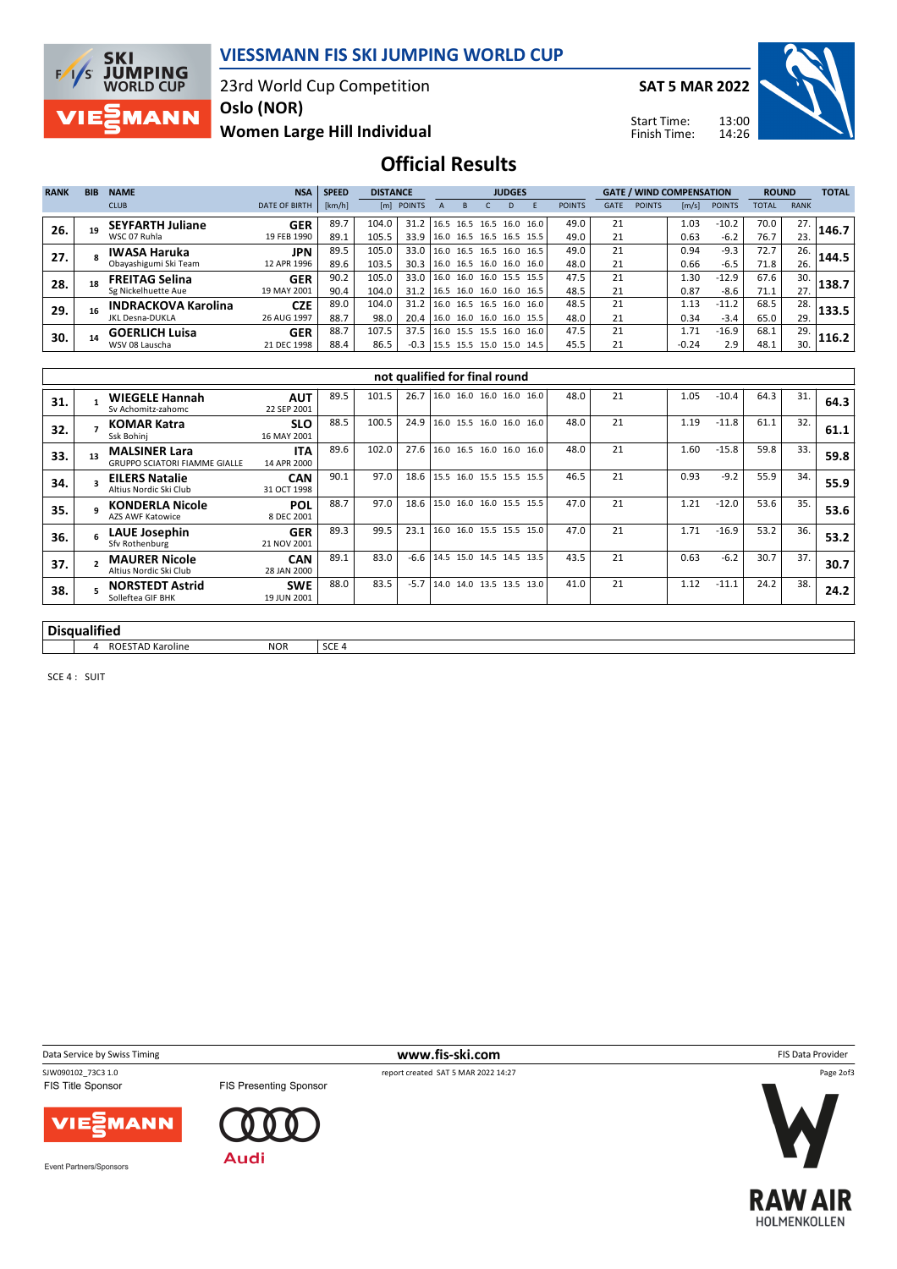

### **VIESSMANN FIS SKI JUMPING WORLD CUP**

23rd World Cup Competition

**SAT 5 MAR 2022**

Start Time: Finish Time:



**Women Large Hill Individual Oslo (NOR)**

**Official Results**

| <b>RANK</b> | <b>BIB</b> | <b>NAME</b>                | <b>NSA</b>           | <b>SPEED</b> | <b>DISTANCE</b> |            | <b>JUDGES</b>            |  |      |      |      | <b>GATE / WIND COMPENSATION</b> |             |               |         | <b>ROUND</b>  |       | <b>TOTAL</b> |       |
|-------------|------------|----------------------------|----------------------|--------------|-----------------|------------|--------------------------|--|------|------|------|---------------------------------|-------------|---------------|---------|---------------|-------|--------------|-------|
|             |            | <b>CLUB</b>                | <b>DATE OF BIRTH</b> | [km/h]       |                 | [m] POINTS |                          |  |      | D    |      | <b>POINTS</b>                   | <b>GATE</b> | <b>POINTS</b> | [m/s]   | <b>POINTS</b> | TOTAL | <b>RANK</b>  |       |
| 26.         |            | <b>SEYFARTH Juliane</b>    | <b>GER</b>           | 89.7         | 104.0           | 31.2       | 16.5 16.5                |  | 16.5 | 16.0 | 16.0 | 49.0                            | 21          |               | 1.03    | $-10.2$       | 70.0  | 27.          | 146.7 |
|             |            | WSC 07 Ruhla               | 19 FEB 1990          | 89.1         | 105.5           | 33.9       | 16.0 16.5 16.5 16.5      |  |      |      | 15.5 | 49.0                            | 21          |               | 0.63    | $-6.2$        | 76.7  | 23.          |       |
| 27.         |            | <b>IWASA Haruka</b>        | <b>JPN</b>           | 89.5         | 105.0           | 33.0       | 16.0 16.5 16.5 16.0 16.5 |  |      |      |      | 49.0                            | 21          |               | 0.94    | $-9.3$        | 72.7  | 26.          | 144.5 |
|             |            | Obayashigumi Ski Team      | 12 APR 1996          | 89.6         | 103.5           | 30.3       | 16.0 16.5 16.0 16.0 16.0 |  |      |      |      | 48.0                            | 21          |               | 0.66    | $-6.5$        | 71.8  | 26.          |       |
| 28.         |            | <b>FREITAG Selina</b>      | <b>GER</b>           | 90.2         | 105.0           | 33.0       | 16.0 16.0 16.0 15.5 15.5 |  |      |      |      | 47.5                            | 21          |               | 1.30    | $-12.9$       | 67.6  | 30.          | 138.7 |
|             |            | Sg Nickelhuette Aue        | 19 MAY 2001          | 90.4         | 104.0           | 31.2       | 16.5 16.0 16.0 16.0 16.5 |  |      |      |      | 48.5                            | 21          |               | 0.87    | $-8.6$        | 71.1  | 27.          |       |
| 29.         |            | <b>INDRACKOVA Karolina</b> | <b>CZE</b>           | 89.0         | 104.0           | 31.2       | 16.0 16.5 16.5 16.0      |  |      |      | 16.0 | 48.5                            | 21          |               | 1.13    | $-11.2$       | 68.5  | 28.          | 133.5 |
|             |            | <b>JKL Desna-DUKLA</b>     | 26 AUG 1997          | 88.7         | 98.0            | 20.4       | 16.0 16.0 16.0 16.0 15.5 |  |      |      |      | 48.0                            | 21          |               | 0.34    | $-3.4$        | 65.0  | 29.          |       |
| 30.         |            | <b>GOERLICH Luisa</b>      | <b>GER</b>           | 88.7         | 107.5           | 37.5       | 16.0 15.5 15.5 16.0      |  |      |      | 16.0 | 47.5                            | 21          |               | 1.71    | $-16.9$       | 68.1  | 29.          | 116.2 |
|             |            | WSV 08 Lauscha             | 21 DEC 1998          | 88.4         | 86.5            | $-0.3$     | 15.5 15.5 15.0 15.0 14.5 |  |      |      |      | 45.5                            | 21          |               | $-0.24$ | 2.9           | 48.1  | 30.          |       |

|                     |          |                                                              |                           |       |       |        | not qualified for final round |  |      |    |      |         |      |     |      |
|---------------------|----------|--------------------------------------------------------------|---------------------------|-------|-------|--------|-------------------------------|--|------|----|------|---------|------|-----|------|
| 31.                 |          | <b>WIEGELE Hannah</b><br>Sy Achomitz-zahomc                  | <b>AUT</b><br>22 SEP 2001 | 89.5  | 101.5 | 26.7   | 16.0 16.0 16.0 16.0 16.0      |  | 48.0 | 21 | 1.05 | $-10.4$ | 64.3 | 31. | 64.3 |
| 32.                 |          | <b>KOMAR Katra</b><br>Ssk Bohinj                             | <b>SLO</b><br>16 MAY 2001 | 88.5  | 100.5 | 24.9   | 16.0 15.5 16.0 16.0 16.0      |  | 48.0 | 21 | 1.19 | $-11.8$ | 61.1 | 32. | 61.1 |
| 33.                 | 13       | <b>MALSINER Lara</b><br><b>GRUPPO SCIATORI FIAMME GIALLE</b> | <b>ITA</b><br>14 APR 2000 | 89.6  | 102.0 | 27.6   | 16.0 16.5 16.0 16.0 16.0      |  | 48.0 | 21 | 1.60 | $-15.8$ | 59.8 | 33. | 59.8 |
| 34.                 |          | <b>EILERS Natalie</b><br>Altius Nordic Ski Club              | <b>CAN</b><br>31 OCT 1998 | 90.1  | 97.0  | 18.6   | 15.5 16.0 15.5 15.5 15.5      |  | 46.5 | 21 | 0.93 | $-9.2$  | 55.9 | 34. | 55.9 |
| 35.                 | $\Omega$ | <b>KONDERLA Nicole</b><br><b>AZS AWF Katowice</b>            | <b>POL</b><br>8 DEC 2001  | 88.7  | 97.0  | 18.6   | 15.0 16.0 16.0 15.5 15.5      |  | 47.0 | 21 | 1.21 | $-12.0$ | 53.6 | 35. | 53.6 |
| 36.                 |          | LAUE Josephin<br>Sfv Rothenburg                              | <b>GER</b><br>21 NOV 2001 | 89.3  | 99.5  | 23.1   | 16.0 16.0 15.5 15.5 15.0      |  | 47.0 | 21 | 1.71 | $-16.9$ | 53.2 | 36. | 53.2 |
| 37.                 |          | <b>MAURER Nicole</b><br>Altius Nordic Ski Club               | <b>CAN</b><br>28 JAN 2000 | 89.1  | 83.0  | $-6.6$ | 14.5 15.0 14.5 14.5 13.5      |  | 43.5 | 21 | 0.63 | $-6.2$  | 30.7 | 37. | 30.7 |
| 38.                 |          | <b>NORSTEDT Astrid</b><br>Solleftea GIF BHK                  | <b>SWE</b><br>19 JUN 2001 | 88.0  | 83.5  | $-5.7$ | 14.0 14.0 13.5 13.5 13.0      |  | 41.0 | 21 | 1.12 | $-11.1$ | 24.2 | 38. | 24.2 |
|                     |          |                                                              |                           |       |       |        |                               |  |      |    |      |         |      |     |      |
| <b>Disqualified</b> |          |                                                              |                           |       |       |        |                               |  |      |    |      |         |      |     |      |
|                     | 4        | <b>ROESTAD Karoline</b>                                      | <b>NOR</b>                | SCE 4 |       |        |                               |  |      |    |      |         |      |     |      |

SCE 4 : SUIT







Event Partners/Sponsors